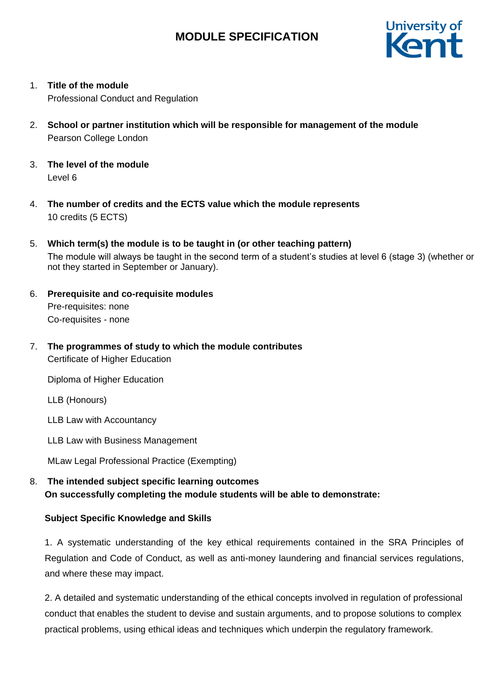

1. **Title of the module**

Professional Conduct and Regulation

- 2. **School or partner institution which will be responsible for management of the module** Pearson College London
- 3. **The level of the module**  Level 6
- 4. **The number of credits and the ECTS value which the module represents**  10 credits (5 ECTS)
- 5. **Which term(s) the module is to be taught in (or other teaching pattern)** The module will always be taught in the second term of a student's studies at level 6 (stage 3) (whether or not they started in September or January).
- 6. **Prerequisite and co-requisite modules** Pre-requisites: none Co-requisites - none
- 7. **The programmes of study to which the module contributes** Certificate of Higher Education

Diploma of Higher Education

LLB (Honours)

LLB Law with Accountancy

LLB Law with Business Management

MLaw Legal Professional Practice (Exempting)

8. **The intended subject specific learning outcomes On successfully completing the module students will be able to demonstrate:**

#### **Subject Specific Knowledge and Skills**

1. A systematic understanding of the key ethical requirements contained in the SRA Principles of Regulation and Code of Conduct, as well as anti-money laundering and financial services regulations, and where these may impact.

2. A detailed and systematic understanding of the ethical concepts involved in regulation of professional conduct that enables the student to devise and sustain arguments, and to propose solutions to complex practical problems, using ethical ideas and techniques which underpin the regulatory framework.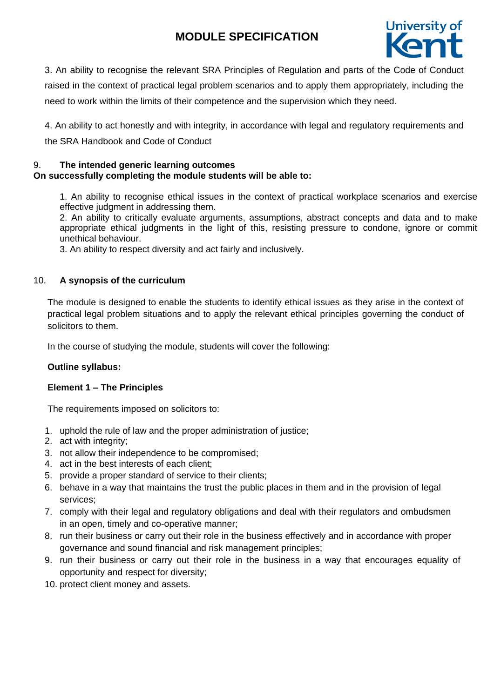

3. An ability to recognise the relevant SRA Principles of Regulation and parts of the Code of Conduct raised in the context of practical legal problem scenarios and to apply them appropriately, including the need to work within the limits of their competence and the supervision which they need.

4. An ability to act honestly and with integrity, in accordance with legal and regulatory requirements and the SRA Handbook and Code of Conduct

### 9. **The intended generic learning outcomes On successfully completing the module students will be able to:**

1. An ability to recognise ethical issues in the context of practical workplace scenarios and exercise effective judgment in addressing them.

2. An ability to critically evaluate arguments, assumptions, abstract concepts and data and to make appropriate ethical judgments in the light of this, resisting pressure to condone, ignore or commit unethical behaviour.

3. An ability to respect diversity and act fairly and inclusively.

### 10. **A synopsis of the curriculum**

The module is designed to enable the students to identify ethical issues as they arise in the context of practical legal problem situations and to apply the relevant ethical principles governing the conduct of solicitors to them.

In the course of studying the module, students will cover the following:

#### **Outline syllabus:**

#### **Element 1 – The Principles**

The requirements imposed on solicitors to:

- 1. uphold the rule of law and the proper administration of justice;
- 2. act with integrity;
- 3. not allow their independence to be compromised;
- 4. act in the best interests of each client;
- 5. provide a proper standard of service to their clients;
- 6. behave in a way that maintains the trust the public places in them and in the provision of legal services;
- 7. comply with their legal and regulatory obligations and deal with their regulators and ombudsmen in an open, timely and co-operative manner;
- 8. run their business or carry out their role in the business effectively and in accordance with proper governance and sound financial and risk management principles;
- 9. run their business or carry out their role in the business in a way that encourages equality of opportunity and respect for diversity;
- 10. protect client money and assets.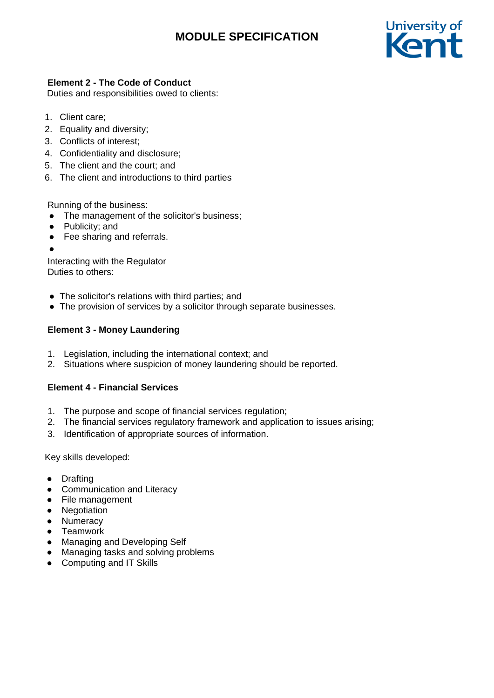

## **Element 2 - The Code of Conduct**

Duties and responsibilities owed to clients:

- 1. Client care;
- 2. Equality and diversity;
- 3. Conflicts of interest;
- 4. Confidentiality and disclosure;
- 5. The client and the court; and
- 6. The client and introductions to third parties

Running of the business:

- The management of the solicitor's business;
- Publicity; and
- Fee sharing and referrals.
- ●

Interacting with the Regulator Duties to others:

- The solicitor's relations with third parties; and
- The provision of services by a solicitor through separate businesses.

### **Element 3 - Money Laundering**

- 1. Legislation, including the international context; and
- 2. Situations where suspicion of money laundering should be reported.

### **Element 4 - Financial Services**

- 1. The purpose and scope of financial services regulation;
- 2. The financial services regulatory framework and application to issues arising;
- 3. Identification of appropriate sources of information.

Key skills developed:

- Drafting
- Communication and Literacy
- File management
- Negotiation
- Numeracy
- Teamwork
- Managing and Developing Self
- Managing tasks and solving problems
- Computing and IT Skills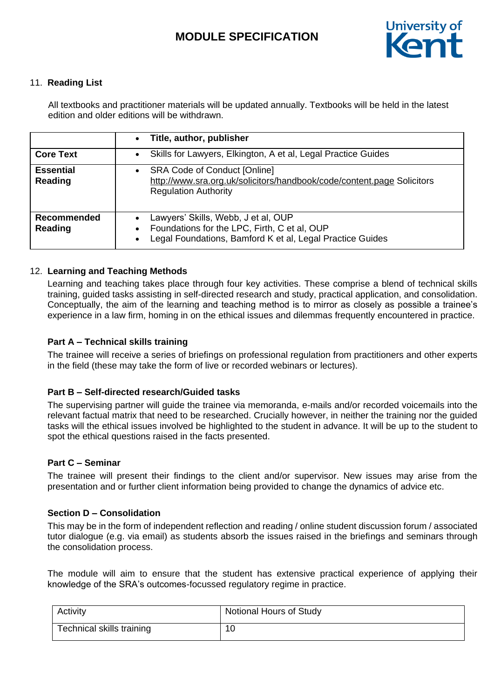

### 11. **Reading List**

All textbooks and practitioner materials will be updated annually. Textbooks will be held in the latest edition and older editions will be withdrawn.

|                               | Title, author, publisher<br>$\bullet$                                                                                                                              |
|-------------------------------|--------------------------------------------------------------------------------------------------------------------------------------------------------------------|
| <b>Core Text</b>              | Skills for Lawyers, Elkington, A et al, Legal Practice Guides<br>$\bullet$                                                                                         |
| <b>Essential</b><br>Reading   | <b>SRA Code of Conduct [Online]</b><br>$\bullet$<br>http://www.sra.org.uk/solicitors/handbook/code/content.page Solicitors<br><b>Regulation Authority</b>          |
| <b>Recommended</b><br>Reading | Lawyers' Skills, Webb, J et al, OUP<br>Foundations for the LPC, Firth, C et al, OUP<br>٠<br>Legal Foundations, Bamford K et al, Legal Practice Guides<br>$\bullet$ |

#### 12. **Learning and Teaching Methods**

Learning and teaching takes place through four key activities. These comprise a blend of technical skills training, guided tasks assisting in self-directed research and study, practical application, and consolidation. Conceptually, the aim of the learning and teaching method is to mirror as closely as possible a trainee's experience in a law firm, homing in on the ethical issues and dilemmas frequently encountered in practice.

### **Part A – Technical skills training**

The trainee will receive a series of briefings on professional regulation from practitioners and other experts in the field (these may take the form of live or recorded webinars or lectures).

#### **Part B – Self-directed research/Guided tasks**

The supervising partner will guide the trainee via memoranda, e-mails and/or recorded voicemails into the relevant factual matrix that need to be researched. Crucially however, in neither the training nor the guided tasks will the ethical issues involved be highlighted to the student in advance. It will be up to the student to spot the ethical questions raised in the facts presented.

#### **Part C – Seminar**

The trainee will present their findings to the client and/or supervisor. New issues may arise from the presentation and or further client information being provided to change the dynamics of advice etc.

#### **Section D – Consolidation**

This may be in the form of independent reflection and reading / online student discussion forum / associated tutor dialogue (e.g. via email) as students absorb the issues raised in the briefings and seminars through the consolidation process.

The module will aim to ensure that the student has extensive practical experience of applying their knowledge of the SRA's outcomes-focussed regulatory regime in practice.

| Activity                  | Notional Hours of Study |
|---------------------------|-------------------------|
| Technical skills training | 10                      |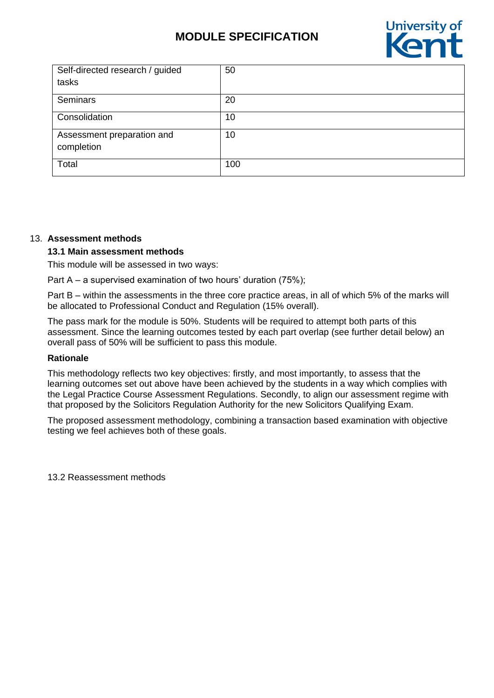

| Self-directed research / guided          | 50  |
|------------------------------------------|-----|
| tasks                                    |     |
| Seminars                                 | 20  |
| Consolidation                            | 10  |
| Assessment preparation and<br>completion | 10  |
| Total                                    | 100 |

#### 13. **Assessment methods**

#### **13.1 Main assessment methods**

This module will be assessed in two ways:

Part A – a supervised examination of two hours' duration (75%);

Part B – within the assessments in the three core practice areas, in all of which 5% of the marks will be allocated to Professional Conduct and Regulation (15% overall).

The pass mark for the module is 50%. Students will be required to attempt both parts of this assessment. Since the learning outcomes tested by each part overlap (see further detail below) an overall pass of 50% will be sufficient to pass this module.

#### **Rationale**

This methodology reflects two key objectives: firstly, and most importantly, to assess that the learning outcomes set out above have been achieved by the students in a way which complies with the Legal Practice Course Assessment Regulations. Secondly, to align our assessment regime with that proposed by the Solicitors Regulation Authority for the new Solicitors Qualifying Exam.

The proposed assessment methodology, combining a transaction based examination with objective testing we feel achieves both of these goals.

13.2 Reassessment methods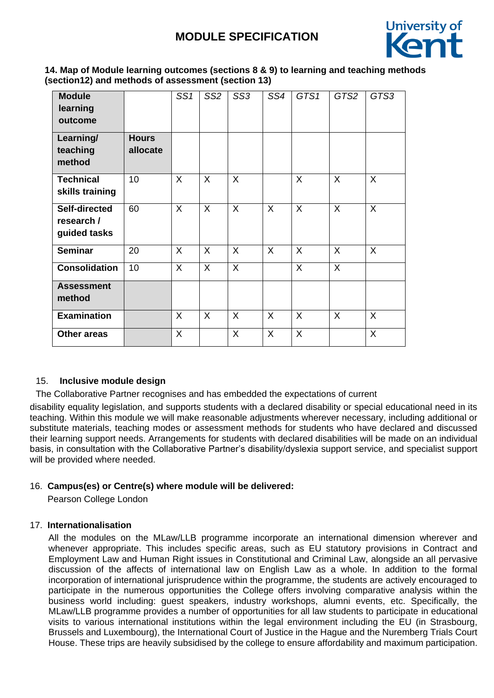

### **14. Map of Module learning outcomes (sections 8 & 9) to learning and teaching methods (section12) and methods of assessment (section 13)**

| <b>Module</b><br>learning<br>outcome        |                          | SS <sub>1</sub> | SS <sub>2</sub> | SS <sub>3</sub> | SS4 | GTS1         | GTS2           | GTS3    |
|---------------------------------------------|--------------------------|-----------------|-----------------|-----------------|-----|--------------|----------------|---------|
| Learning/<br>teaching<br>method             | <b>Hours</b><br>allocate |                 |                 |                 |     |              |                |         |
| <b>Technical</b><br>skills training         | 10                       | $\sf X$         | X               | $\sf X$         |     | X            | $\sf X$        | $\sf X$ |
| Self-directed<br>research /<br>guided tasks | 60                       | $\sf X$         | X               | $\sf X$         | X   | X            | X              | X       |
| <b>Seminar</b>                              | 20                       | X               | X               | X               | X   | X            | X              | X       |
| <b>Consolidation</b>                        | 10                       | $\sf X$         | $\mathsf{X}$    | $\sf X$         |     | $\mathsf{X}$ | $\overline{X}$ |         |
| <b>Assessment</b><br>method                 |                          |                 |                 |                 |     |              |                |         |
| <b>Examination</b>                          |                          | $\sf X$         | X               | X               | X   | X            | X              | X       |
| <b>Other areas</b>                          |                          | X               |                 | X               | X   | X            |                | X       |

#### 15. **Inclusive module design**

The Collaborative Partner recognises and has embedded the expectations of current

disability equality legislation, and supports students with a declared disability or special educational need in its teaching. Within this module we will make reasonable adjustments wherever necessary, including additional or substitute materials, teaching modes or assessment methods for students who have declared and discussed their learning support needs. Arrangements for students with declared disabilities will be made on an individual basis, in consultation with the Collaborative Partner's disability/dyslexia support service, and specialist support will be provided where needed.

#### 16. **Campus(es) or Centre(s) where module will be delivered:**

Pearson College London

#### 17. **Internationalisation**

All the modules on the MLaw/LLB programme incorporate an international dimension wherever and whenever appropriate. This includes specific areas, such as EU statutory provisions in Contract and Employment Law and Human Right issues in Constitutional and Criminal Law, alongside an all pervasive discussion of the affects of international law on English Law as a whole. In addition to the formal incorporation of international jurisprudence within the programme, the students are actively encouraged to participate in the numerous opportunities the College offers involving comparative analysis within the business world including: guest speakers, industry workshops, alumni events, etc. Specifically, the MLaw/LLB programme provides a number of opportunities for all law students to participate in educational visits to various international institutions within the legal environment including the EU (in Strasbourg, Brussels and Luxembourg), the International Court of Justice in the Hague and the Nuremberg Trials Court House. These trips are heavily subsidised by the college to ensure affordability and maximum participation.